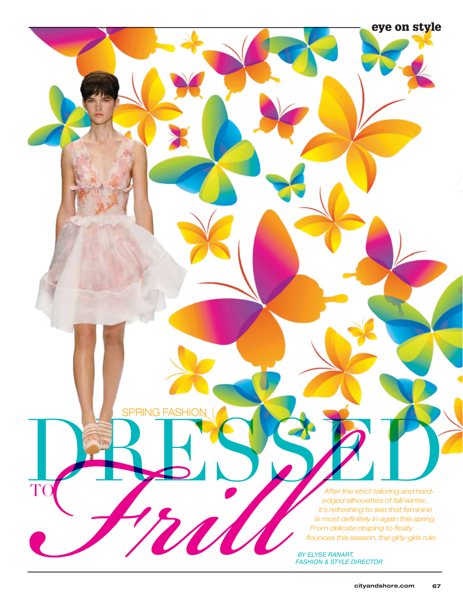TO BREAD CONTRACTED A REPORT After the strict tailoring and hard-<br>
After the strict tailoring and hard-<br>
tis refreshing to see that femining<br>
is most definitely in again this spring<br>
from delicate draping to floaty<br>
flounces this season, the girly-gir edged silhouettes of fall/winter, it's refreshing to see that feminine is most definitely in again this spring. From delicate draping to floaty flounces this season, the girly-girls rule.

BY ELYSE RANART, FASHION & STYLE DIRECTOR

**SPRING FASHIO** 

F

T

eye on style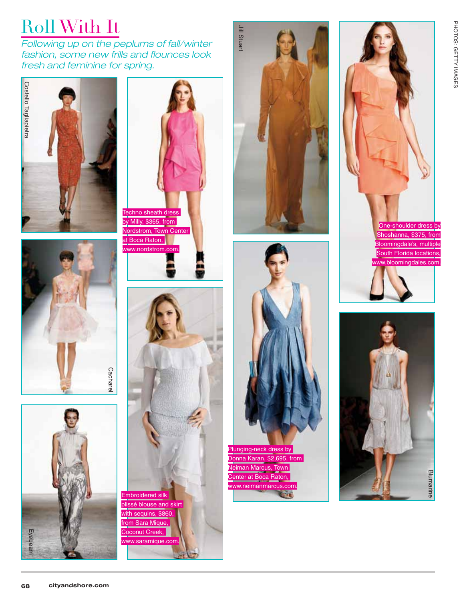## Roll With It

Following up on the peplums of fall/winter fashion, some new frills and flounces look fresh and feminine for spring.















Plunging-neck dress by Donna Karan, \$2,695, from Neiman Marcus, Town Center at Boca Raton, www.neimanmarcus.com. **COL** 



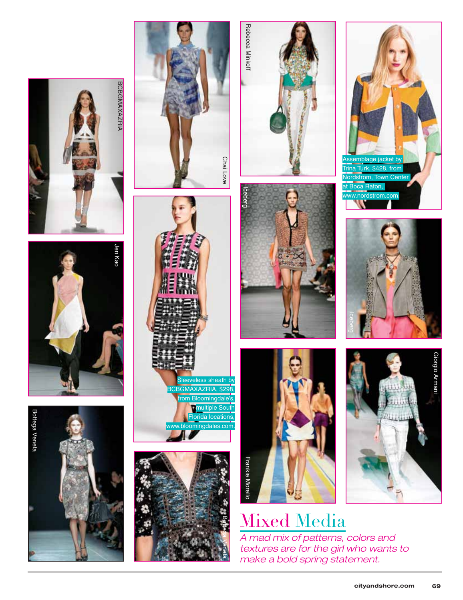























## Mixed Media

A mad mix of patterns, colors and textures are for the girl who wants to make a bold spring statement.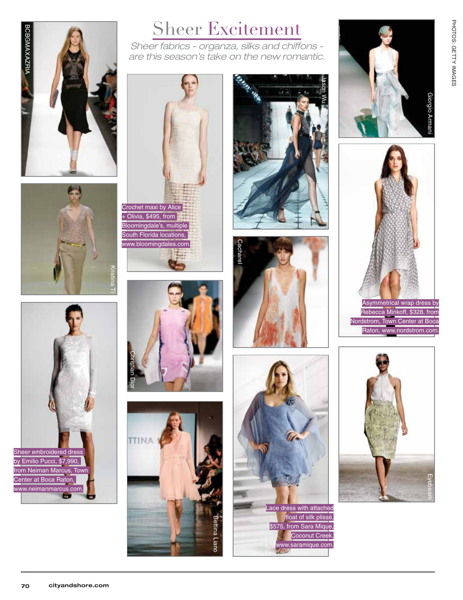







Sheer fabrics - organza, silks and chiffons are this season's take on the new romantic.



 $+$  Olivia, \$495, from Bloomingdale's, multiple South Florida locations, www.bloomingdales.com.













PHOTOS: GETTY IMAGES PHOTOS: GETTY IMAGES



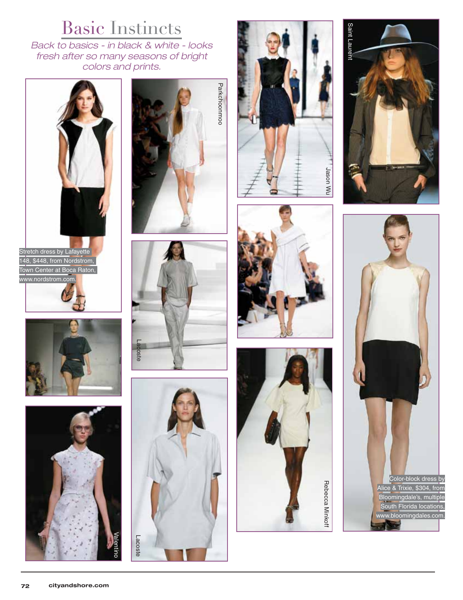## Basic Instincts

Back to basics - in black & white - looks fresh after so many seasons of bright colors and prints.



Stretch dress by Lafayette 148, \$448, from Nordstrom, Town Center at Boca Raton, w.nordstrom.c